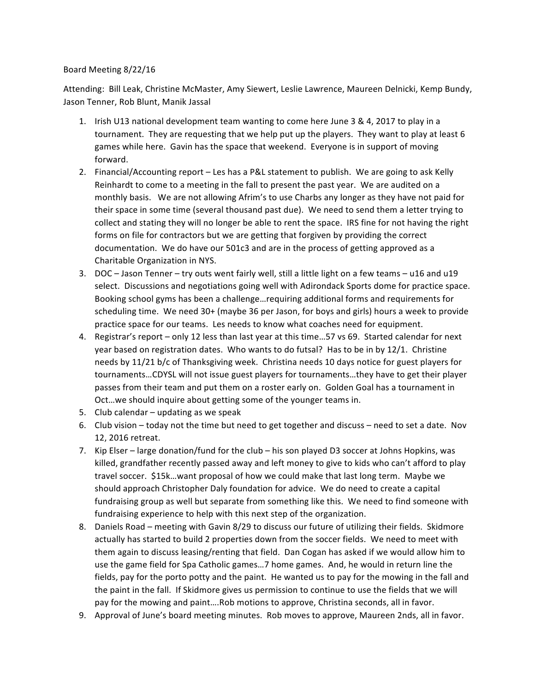## Board Meeting 8/22/16

Attending: Bill Leak, Christine McMaster, Amy Siewert, Leslie Lawrence, Maureen Delnicki, Kemp Bundy, Jason Tenner, Rob Blunt, Manik Jassal

- 1. Irish U13 national development team wanting to come here June 3 & 4, 2017 to play in a tournament. They are requesting that we help put up the players. They want to play at least 6 games while here. Gavin has the space that weekend. Everyone is in support of moving forward.
- 2. Financial/Accounting report Les has a P&L statement to publish. We are going to ask Kelly Reinhardt to come to a meeting in the fall to present the past year. We are audited on a monthly basis. We are not allowing Afrim's to use Charbs any longer as they have not paid for their space in some time (several thousand past due). We need to send them a letter trying to collect and stating they will no longer be able to rent the space. IRS fine for not having the right forms on file for contractors but we are getting that forgiven by providing the correct documentation. We do have our 501c3 and are in the process of getting approved as a Charitable Organization in NYS.
- 3. DOC Jason Tenner try outs went fairly well, still a little light on a few teams u16 and u19 select. Discussions and negotiations going well with Adirondack Sports dome for practice space. Booking school gyms has been a challenge...requiring additional forms and requirements for scheduling time. We need 30+ (maybe 36 per Jason, for boys and girls) hours a week to provide practice space for our teams. Les needs to know what coaches need for equipment.
- 4. Registrar's report only 12 less than last year at this time...57 vs 69. Started calendar for next year based on registration dates. Who wants to do futsal? Has to be in by  $12/1$ . Christine needs by 11/21 b/c of Thanksgiving week. Christina needs 10 days notice for guest players for tournaments...CDYSL will not issue guest players for tournaments...they have to get their player passes from their team and put them on a roster early on. Golden Goal has a tournament in Oct...we should inquire about getting some of the younger teams in.
- 5. Club calendar  $-$  updating as we speak
- 6. Club vision today not the time but need to get together and discuss need to set a date. Nov 12, 2016 retreat.
- 7. Kip Elser large donation/fund for the club his son played D3 soccer at Johns Hopkins, was killed, grandfather recently passed away and left money to give to kids who can't afford to play travel soccer. \$15k...want proposal of how we could make that last long term. Maybe we should approach Christopher Daly foundation for advice. We do need to create a capital fundraising group as well but separate from something like this. We need to find someone with fundraising experience to help with this next step of the organization.
- 8. Daniels Road meeting with Gavin 8/29 to discuss our future of utilizing their fields. Skidmore actually has started to build 2 properties down from the soccer fields. We need to meet with them again to discuss leasing/renting that field. Dan Cogan has asked if we would allow him to use the game field for Spa Catholic games...7 home games. And, he would in return line the fields, pay for the porto potty and the paint. He wanted us to pay for the mowing in the fall and the paint in the fall. If Skidmore gives us permission to continue to use the fields that we will pay for the mowing and paint....Rob motions to approve, Christina seconds, all in favor.
- 9. Approval of June's board meeting minutes. Rob moves to approve, Maureen 2nds, all in favor.